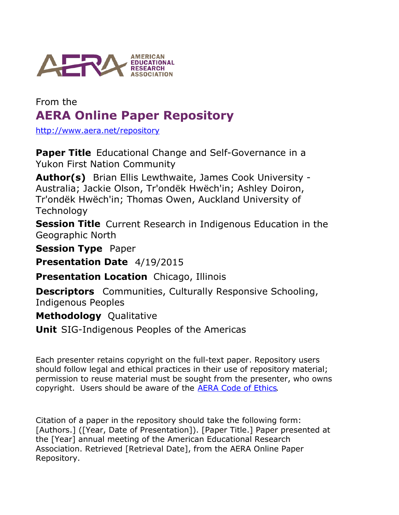

# From the **AERA Online Paper Repository**

<http://www.aera.net/repository>

**Paper Title** Educational Change and Self-Governance in a Yukon First Nation Community

Author(s) Brian Ellis Lewthwaite, James Cook University -Australia; Jackie Olson, Tr'ondëk Hwëch'in; Ashley Doiron, Tr'ondëk Hwëch'in; Thomas Owen, Auckland University of **Technology** 

**Session Title** Current Research in Indigenous Education in the Geographic North

**Session Type** Paper

**Presentation Date** 4/19/2015

**Presentation Location** Chicago, Illinois

**Descriptors** Communities, Culturally Responsive Schooling, Indigenous Peoples

**Methodology** Qualitative

**Unit** SIG-Indigenous Peoples of the Americas

Each presenter retains copyright on the full-text paper. Repository users should follow legal and ethical practices in their use of repository material; permission to reuse material must be sought from the presenter, who owns copyright. Users should be aware of the **AERA Code of Ethics**.

Citation of a paper in the repository should take the following form: [Authors.] ([Year, Date of Presentation]). [Paper Title.] Paper presented at the [Year] annual meeting of the American Educational Research Association. Retrieved [Retrieval Date], from the AERA Online Paper Repository.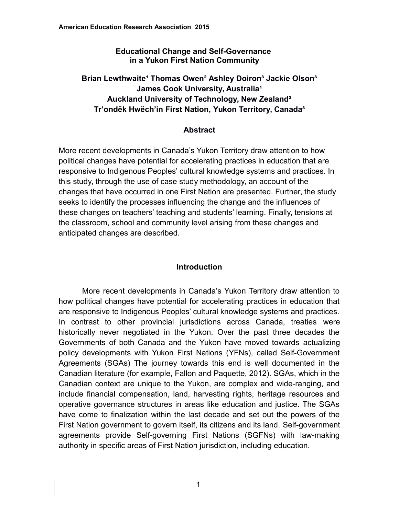#### **Educational Change and Self-Governance in a Yukon First Nation Community**

# Brian Lewthwaite<sup>1</sup> Thomas Owen<sup>2</sup> Ashley Doiron<sup>3</sup> Jackie Olson<sup>3</sup> **James Cook University, Australia<sup>1</sup> Auckland University of Technology, New Zealand² Tr'ondëk Hwëch'in First Nation, Yukon Territory, Canada³**

#### **Abstract**

More recent developments in Canada's Yukon Territory draw attention to how political changes have potential for accelerating practices in education that are responsive to Indigenous Peoples' cultural knowledge systems and practices. In this study, through the use of case study methodology, an account of the changes that have occurred in one First Nation are presented. Further, the study seeks to identify the processes influencing the change and the influences of these changes on teachers' teaching and students' learning. Finally, tensions at the classroom, school and community level arising from these changes and anticipated changes are described.

# **Introduction**

More recent developments in Canada's Yukon Territory draw attention to how political changes have potential for accelerating practices in education that are responsive to Indigenous Peoples' cultural knowledge systems and practices. In contrast to other provincial jurisdictions across Canada, treaties were historically never negotiated in the Yukon. Over the past three decades the Governments of both Canada and the Yukon have moved towards actualizing policy developments with Yukon First Nations (YFNs), called Self-Government Agreements (SGAs) The journey towards this end is well documented in the Canadian literature (for example, Fallon and Paquette, 2012). SGAs, which in the Canadian context are unique to the Yukon, are complex and wide-ranging, and include financial compensation, land, harvesting rights, heritage resources and operative governance structures in areas like education and justice. The SGAs have come to finalization within the last decade and set out the powers of the First Nation government to govern itself, its citizens and its land. Self-government agreements provide Self-governing First Nations (SGFNs) with law-making authority in specific areas of First Nation jurisdiction, including education.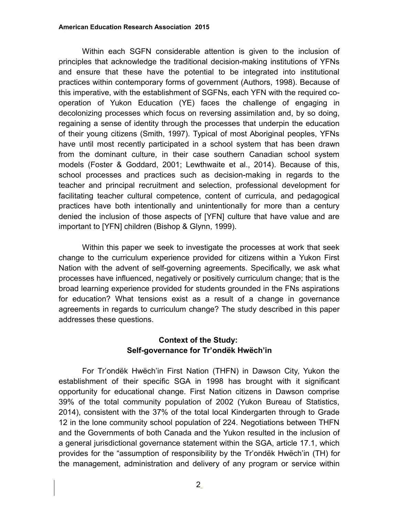Within each SGFN considerable attention is given to the inclusion of principles that acknowledge the traditional decision-making institutions of YFNs and ensure that these have the potential to be integrated into institutional practices within contemporary forms of government (Authors, 1998). Because of this imperative, with the establishment of SGFNs, each YFN with the required cooperation of Yukon Education (YE) faces the challenge of engaging in decolonizing processes which focus on reversing assimilation and, by so doing, regaining a sense of identity through the processes that underpin the education of their young citizens (Smith, 1997). Typical of most Aboriginal peoples, YFNs have until most recently participated in a school system that has been drawn from the dominant culture, in their case southern Canadian school system models (Foster & Goddard, 2001; Lewthwaite et al., 2014). Because of this, school processes and practices such as decision-making in regards to the teacher and principal recruitment and selection, professional development for facilitating teacher cultural competence, content of curricula, and pedagogical practices have both intentionally and unintentionally for more than a century denied the inclusion of those aspects of [YFN] culture that have value and are important to [YFN] children (Bishop & Glynn, 1999).

Within this paper we seek to investigate the processes at work that seek change to the curriculum experience provided for citizens within a Yukon First Nation with the advent of self-governing agreements. Specifically, we ask what processes have influenced, negatively or positively curriculum change; that is the broad learning experience provided for students grounded in the FNs aspirations for education? What tensions exist as a result of a change in governance agreements in regards to curriculum change? The study described in this paper addresses these questions.

# **Context of the Study: Self-governance for Tr'ondëk Hwëch'in**

For Tr'ondëk Hwëch'in First Nation (THFN) in Dawson City, Yukon the establishment of their specific SGA in 1998 has brought with it significant opportunity for educational change. First Nation citizens in Dawson comprise 39% of the total community population of 2002 (Yukon Bureau of Statistics, 2014), consistent with the 37% of the total local Kindergarten through to Grade 12 in the lone community school population of 224. Negotiations between THFN and the Governments of both Canada and the Yukon resulted in the inclusion of a general jurisdictional governance statement within the SGA, article 17.1, which provides for the "assumption of responsibility by the Tr'ondëk Hwëch'in (TH) for the management, administration and delivery of any program or service within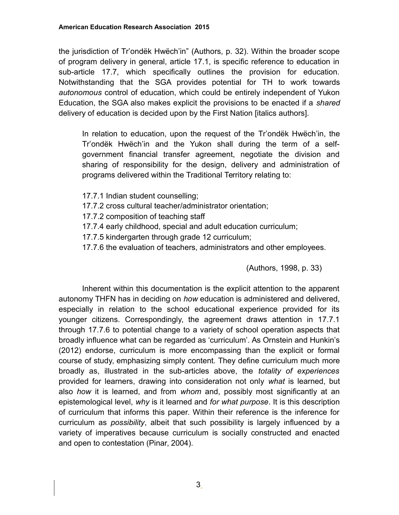the jurisdiction of Tr'ondëk Hwëch'in" (Authors, p. 32). Within the broader scope of program delivery in general, article 17.1, is specific reference to education in sub-article 17.7, which specifically outlines the provision for education. Notwithstanding that the SGA provides potential for TH to work towards *autonomous* control of education, which could be entirely independent of Yukon Education, the SGA also makes explicit the provisions to be enacted if a *shared* delivery of education is decided upon by the First Nation [italics authors].

In relation to education, upon the request of the Tr'ondëk Hwëch'in, the Tr'ondëk Hwëch'in and the Yukon shall during the term of a selfgovernment financial transfer agreement, negotiate the division and sharing of responsibility for the design, delivery and administration of programs delivered within the Traditional Territory relating to:

- 17.7.1 Indian student counselling;
- 17.7.2 cross cultural teacher/administrator orientation;
- 17.7.2 composition of teaching staff
- 17.7.4 early childhood, special and adult education curriculum;
- 17.7.5 kindergarten through grade 12 curriculum;
- 17.7.6 the evaluation of teachers, administrators and other employees.

(Authors, 1998, p. 33)

Inherent within this documentation is the explicit attention to the apparent autonomy THFN has in deciding on *how* education is administered and delivered, especially in relation to the school educational experience provided for its younger citizens. Correspondingly, the agreement draws attention in 17.7.1 through 17.7.6 to potential change to a variety of school operation aspects that broadly influence what can be regarded as 'curriculum'. As Ornstein and Hunkin's (2012) endorse, curriculum is more encompassing than the explicit or formal course of study, emphasizing simply content*.* They define curriculum much more broadly as, illustrated in the sub-articles above, the *totality of experiences* provided for learners, drawing into consideration not only *what* is learned, but also *how* it is learned, and from *whom* and, possibly most significantly at an epistemological level, *why* is it learned and *for what purpose*. It is this description of curriculum that informs this paper. Within their reference is the inference for curriculum as *possibility*, albeit that such possibility is largely influenced by a variety of imperatives because curriculum is socially constructed and enacted and open to contestation (Pinar, 2004).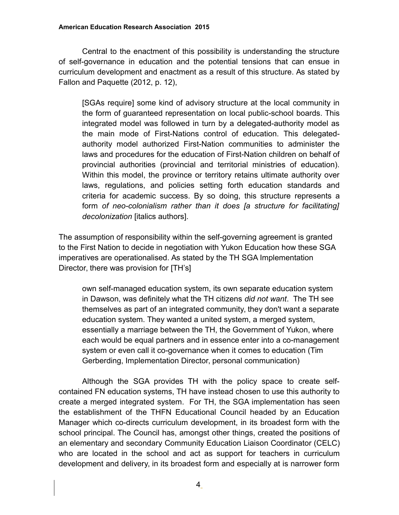Central to the enactment of this possibility is understanding the structure of self-governance in education and the potential tensions that can ensue in curriculum development and enactment as a result of this structure. As stated by Fallon and Paquette (2012, p. 12),

[SGAs require] some kind of advisory structure at the local community in the form of guaranteed representation on local public-school boards. This integrated model was followed in turn by a delegated-authority model as the main mode of First-Nations control of education. This delegatedauthority model authorized First-Nation communities to administer the laws and procedures for the education of First-Nation children on behalf of provincial authorities (provincial and territorial ministries of education). Within this model, the province or territory retains ultimate authority over laws, regulations, and policies setting forth education standards and criteria for academic success. By so doing, this structure represents a form *of neo-colonialism rather than it does [a structure for facilitating] decolonization* [italics authors].

The assumption of responsibility within the self-governing agreement is granted to the First Nation to decide in negotiation with Yukon Education how these SGA imperatives are operationalised. As stated by the TH SGA Implementation Director, there was provision for [TH's]

own self-managed education system, its own separate education system in Dawson, was definitely what the TH citizens *did not want*. The TH see themselves as part of an integrated community, they don't want a separate education system. They wanted a united system, a merged system, essentially a marriage between the TH, the Government of Yukon, where each would be equal partners and in essence enter into a co-management system or even call it co-governance when it comes to education (Tim Gerberding, Implementation Director, personal communication)

Although the SGA provides TH with the policy space to create selfcontained FN education systems, TH have instead chosen to use this authority to create a merged integrated system. For TH, the SGA implementation has seen the establishment of the THFN Educational Council headed by an Education Manager which co-directs curriculum development, in its broadest form with the school principal. The Council has, amongst other things, created the positions of an elementary and secondary Community Education Liaison Coordinator (CELC) who are located in the school and act as support for teachers in curriculum development and delivery, in its broadest form and especially at is narrower form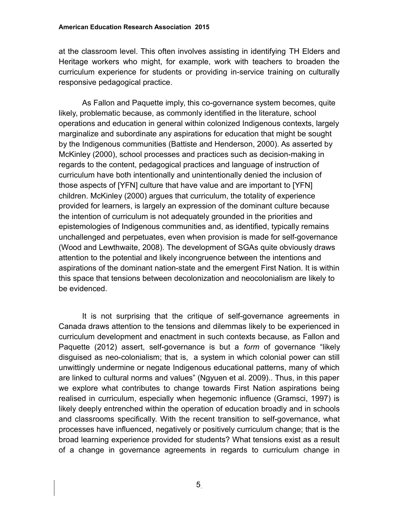at the classroom level. This often involves assisting in identifying TH Elders and Heritage workers who might, for example, work with teachers to broaden the curriculum experience for students or providing in-service training on culturally responsive pedagogical practice.

As Fallon and Paquette imply, this co-governance system becomes, quite likely, problematic because, as commonly identified in the literature, school operations and education in general within colonized Indigenous contexts, largely marginalize and subordinate any aspirations for education that might be sought by the Indigenous communities (Battiste and Henderson, 2000). As asserted by McKinley (2000), school processes and practices such as decision-making in regards to the content, pedagogical practices and language of instruction of curriculum have both intentionally and unintentionally denied the inclusion of those aspects of [YFN] culture that have value and are important to [YFN] children. McKinley (2000) argues that curriculum, the totality of experience provided for learners, is largely an expression of the dominant culture because the intention of curriculum is not adequately grounded in the priorities and epistemologies of Indigenous communities and, as identified, typically remains unchallenged and perpetuates, even when provision is made for self-governance (Wood and Lewthwaite, 2008). The development of SGAs quite obviously draws attention to the potential and likely incongruence between the intentions and aspirations of the dominant nation-state and the emergent First Nation. It is within this space that tensions between decolonization and neocolonialism are likely to be evidenced.

It is not surprising that the critique of self-governance agreements in Canada draws attention to the tensions and dilemmas likely to be experienced in curriculum development and enactment in such contexts because, as Fallon and Paquette (2012) assert, self-governance is but a *form* of governance "likely disguised as neo-colonialism; that is, a system in which colonial power can still unwittingly undermine or negate Indigenous educational patterns, many of which are linked to cultural norms and values" (Ngyuen et al. 2009).. Thus, in this paper we explore what contributes to change towards First Nation aspirations being realised in curriculum, especially when hegemonic influence (Gramsci, 1997) is likely deeply entrenched within the operation of education broadly and in schools and classrooms specifically. With the recent transition to self-governance, what processes have influenced, negatively or positively curriculum change; that is the broad learning experience provided for students? What tensions exist as a result of a change in governance agreements in regards to curriculum change in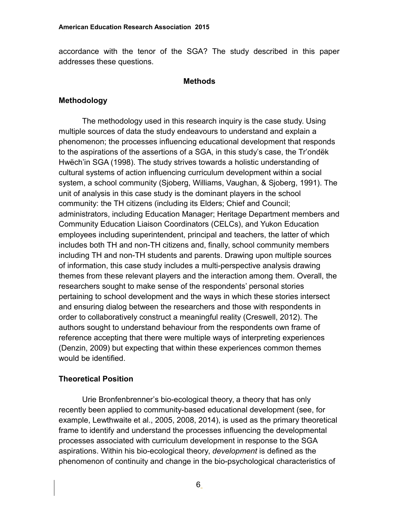accordance with the tenor of the SGA? The study described in this paper addresses these questions.

#### **Methods**

#### **Methodology**

The methodology used in this research inquiry is the case study. Using multiple sources of data the study endeavours to understand and explain a phenomenon; the processes influencing educational development that responds to the aspirations of the assertions of a SGA, in this study's case, the Tr'ondëk Hwëch'in SGA (1998). The study strives towards a holistic understanding of cultural systems of action influencing curriculum development within a social system, a school community (Sjoberg, Williams, Vaughan, & Sjoberg, 1991). The unit of analysis in this case study is the dominant players in the school community: the TH citizens (including its Elders; Chief and Council; administrators, including Education Manager; Heritage Department members and Community Education Liaison Coordinators (CELCs), and Yukon Education employees including superintendent, principal and teachers, the latter of which includes both TH and non-TH citizens and, finally, school community members including TH and non-TH students and parents. Drawing upon multiple sources of information, this case study includes a multi-perspective analysis drawing themes from these relevant players and the interaction among them. Overall, the researchers sought to make sense of the respondents' personal stories pertaining to school development and the ways in which these stories intersect and ensuring dialog between the researchers and those with respondents in order to collaboratively construct a meaningful reality (Creswell, 2012). The authors sought to understand behaviour from the respondents own frame of reference accepting that there were multiple ways of interpreting experiences (Denzin, 2009) but expecting that within these experiences common themes would be identified.

# **Theoretical Position**

Urie Bronfenbrenner's bio-ecological theory, a theory that has only recently been applied to community-based educational development (see, for example, Lewthwaite et al., 2005, 2008, 2014), is used as the primary theoretical frame to identify and understand the processes influencing the developmental processes associated with curriculum development in response to the SGA aspirations. Within his bio-ecological theory, *development* is defined as the phenomenon of continuity and change in the bio-psychological characteristics of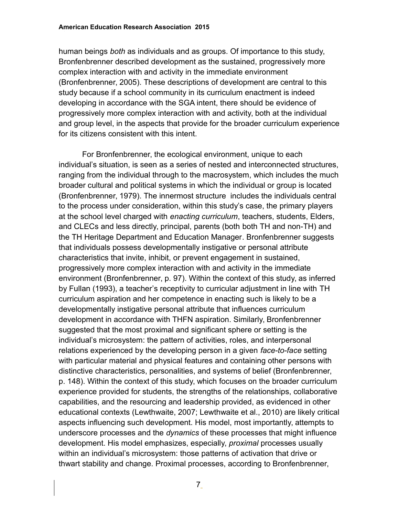human beings *both* as individuals and as groups. Of importance to this study, Bronfenbrenner described development as the sustained, progressively more complex interaction with and activity in the immediate environment (Bronfenbrenner, 2005). These descriptions of development are central to this study because if a school community in its curriculum enactment is indeed developing in accordance with the SGA intent, there should be evidence of progressively more complex interaction with and activity, both at the individual and group level, in the aspects that provide for the broader curriculum experience for its citizens consistent with this intent.

For Bronfenbrenner, the ecological environment, unique to each individual's situation, is seen as a series of nested and interconnected structures, ranging from the individual through to the macrosystem, which includes the much broader cultural and political systems in which the individual or group is located (Bronfenbrenner, 1979). The innermost structure includes the individuals central to the process under consideration, within this study's case, the primary players at the school level charged with *enacting curriculum*, teachers, students, Elders, and CLECs and less directly, principal, parents (both both TH and non-TH) and the TH Heritage Department and Education Manager. Bronfenbrenner suggests that individuals possess developmentally instigative or personal attribute characteristics that invite, inhibit, or prevent engagement in sustained, progressively more complex interaction with and activity in the immediate environment (Bronfenbrenner, p. 97). Within the context of this study, as inferred by Fullan (1993), a teacher's receptivity to curricular adjustment in line with TH curriculum aspiration and her competence in enacting such is likely to be a developmentally instigative personal attribute that influences curriculum development in accordance with THFN aspiration. Similarly, Bronfenbrenner suggested that the most proximal and significant sphere or setting is the individual's microsystem: the pattern of activities, roles, and interpersonal relations experienced by the developing person in a given *face-to-face* setting with particular material and physical features and containing other persons with distinctive characteristics, personalities, and systems of belief (Bronfenbrenner, p. 148). Within the context of this study, which focuses on the broader curriculum experience provided for students, the strengths of the relationships, collaborative capabilities, and the resourcing and leadership provided, as evidenced in other educational contexts (Lewthwaite, 2007; Lewthwaite et al., 2010) are likely critical aspects influencing such development. His model, most importantly, attempts to underscore processes and the *dynamics* of these processes that might influence development. His model emphasizes, especially, *proximal* processes usually within an individual's microsystem: those patterns of activation that drive or thwart stability and change. Proximal processes, according to Bronfenbrenner,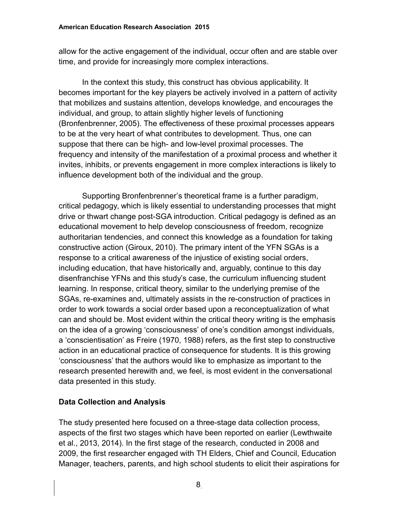allow for the active engagement of the individual, occur often and are stable over time, and provide for increasingly more complex interactions.

In the context this study, this construct has obvious applicability. It becomes important for the key players be actively involved in a pattern of activity that mobilizes and sustains attention, develops knowledge, and encourages the individual, and group, to attain slightly higher levels of functioning (Bronfenbrenner, 2005). The effectiveness of these proximal processes appears to be at the very heart of what contributes to development. Thus, one can suppose that there can be high- and low-level proximal processes. The frequency and intensity of the manifestation of a proximal process and whether it invites, inhibits, or prevents engagement in more complex interactions is likely to influence development both of the individual and the group.

Supporting Bronfenbrenner's theoretical frame is a further paradigm, critical pedagogy, which is likely essential to understanding processes that might drive or thwart change post-SGA introduction. Critical pedagogy is defined as an educational movement to help develop consciousness of freedom, recognize authoritarian tendencies, and connect this knowledge as a foundation for taking constructive action (Giroux, 2010). The primary intent of the YFN SGAs is a response to a critical awareness of the injustice of existing social orders, including education, that have historically and, arguably, continue to this day disenfranchise YFNs and this study's case, the curriculum influencing student learning. In response, critical theory, similar to the underlying premise of the SGAs, re-examines and, ultimately assists in the re-construction of practices in order to work towards a social order based upon a reconceptualization of what can and should be. Most evident within the critical theory writing is the emphasis on the idea of a growing 'consciousness' of one's condition amongst individuals, a 'conscientisation' as Freire (1970, 1988) refers, as the first step to constructive action in an educational practice of consequence for students. It is this growing 'consciousness' that the authors would like to emphasize as important to the research presented herewith and, we feel, is most evident in the conversational data presented in this study.

# **Data Collection and Analysis**

The study presented here focused on a three-stage data collection process, aspects of the first two stages which have been reported on earlier (Lewthwaite et al., 2013, 2014). In the first stage of the research, conducted in 2008 and 2009, the first researcher engaged with TH Elders, Chief and Council, Education Manager, teachers, parents, and high school students to elicit their aspirations for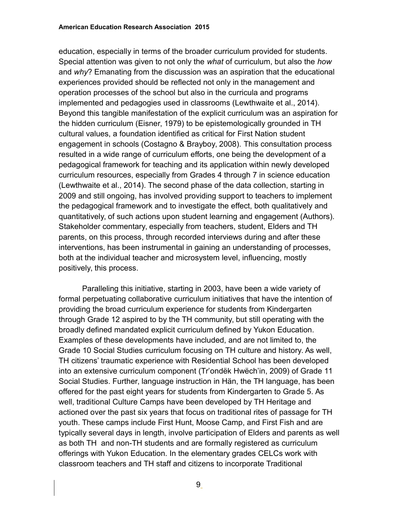education, especially in terms of the broader curriculum provided for students. Special attention was given to not only the *what* of curriculum, but also the *how*  and *why*? Emanating from the discussion was an aspiration that the educational experiences provided should be reflected not only in the management and operation processes of the school but also in the curricula and programs implemented and pedagogies used in classrooms (Lewthwaite et al., 2014). Beyond this tangible manifestation of the explicit curriculum was an aspiration for the hidden curriculum (Eisner, 1979) to be epistemologically grounded in TH cultural values, a foundation identified as critical for First Nation student engagement in schools (Costagno & Brayboy, 2008). This consultation process resulted in a wide range of curriculum efforts, one being the development of a pedagogical framework for teaching and its application within newly developed curriculum resources, especially from Grades 4 through 7 in science education (Lewthwaite et al., 2014). The second phase of the data collection, starting in 2009 and still ongoing, has involved providing support to teachers to implement the pedagogical framework and to investigate the effect, both qualitatively and quantitatively, of such actions upon student learning and engagement (Authors). Stakeholder commentary, especially from teachers, student, Elders and TH parents, on this process, through recorded interviews during and after these interventions, has been instrumental in gaining an understanding of processes, both at the individual teacher and microsystem level, influencing, mostly positively, this process.

Paralleling this initiative, starting in 2003, have been a wide variety of formal perpetuating collaborative curriculum initiatives that have the intention of providing the broad curriculum experience for students from Kindergarten through Grade 12 aspired to by the TH community, but still operating with the broadly defined mandated explicit curriculum defined by Yukon Education. Examples of these developments have included, and are not limited to, the Grade 10 Social Studies curriculum focusing on TH culture and history. As well, TH citizens' traumatic experience with Residential School has been developed into an extensive curriculum component (Tr'ondëk Hwëch'in, 2009) of Grade 11 Social Studies. Further, language instruction in Hän, the TH language, has been offered for the past eight years for students from Kindergarten to Grade 5. As well, traditional Culture Camps have been developed by TH Heritage and actioned over the past six years that focus on traditional rites of passage for TH youth. These camps include First Hunt, Moose Camp, and First Fish and are typically several days in length, involve participation of Elders and parents as well as both TH and non-TH students and are formally registered as curriculum offerings with Yukon Education. In the elementary grades CELCs work with classroom teachers and TH staff and citizens to incorporate Traditional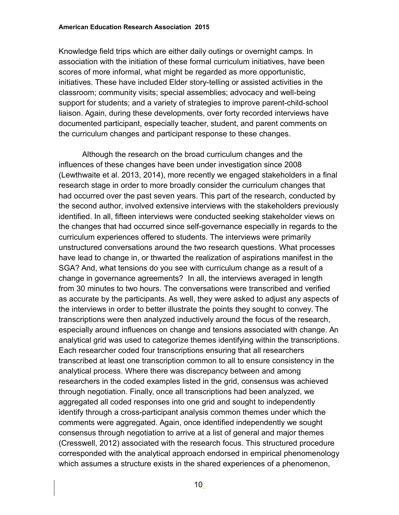Knowledge field trips which are either daily outings or overnight camps. In association with the initiation of these formal curriculum initiatives, have been scores of more informal, what might be regarded as more opportunistic, initiatives. These have included Elder story-telling or assisted activities in the classroom; community visits; special assemblies; advocacy and well-being support for students; and a variety of strategies to improve parent-child-school liaison. Again, during these developments, over forty recorded interviews have documented participant, especially teacher, student, and parent comments on the curriculum changes and participant response to these changes.

Although the research on the broad curriculum changes and the influences of these changes have been under investigation since 2008 (Lewthwaite et al. 2013, 2014), more recently we engaged stakeholders in a final research stage in order to more broadly consider the curriculum changes that had occurred over the past seven years. This part of the research, conducted by the second author, involved extensive interviews with the stakeholders previously identified. In all, fifteen interviews were conducted seeking stakeholder views on the changes that had occurred since self-governance especially in regards to the curriculum experiences offered to students. The interviews were primarily unstructured conversations around the two research questions. What processes have lead to change in, or thwarted the realization of aspirations manifest in the SGA? And, what tensions do you see with curriculum change as a result of a change in governance agreements? In all, the interviews averaged in length from 30 minutes to two hours. The conversations were transcribed and verified as accurate by the participants. As well, they were asked to adjust any aspects of the interviews in order to better illustrate the points they sought to convey. The transcriptions were then analyzed inductively around the focus of the research, especially around influences on change and tensions associated with change. An analytical grid was used to categorize themes identifying within the transcriptions. Each researcher coded four transcriptions ensuring that all researchers transcribed at least one transcription common to all to ensure consistency in the analytical process. Where there was discrepancy between and among researchers in the coded examples listed in the grid, consensus was achieved through negotiation. Finally, once all transcriptions had been analyzed, we aggregated all coded responses into one grid and sought to independently identify through a cross-participant analysis common themes under which the comments were aggregated. Again, once identified independently we sought consensus through negotiation to arrive at a list of general and major themes (Cresswell, 2012) associated with the research focus. This structured procedure corresponded with the analytical approach endorsed in empirical phenomenology which assumes a structure exists in the shared experiences of a phenomenon,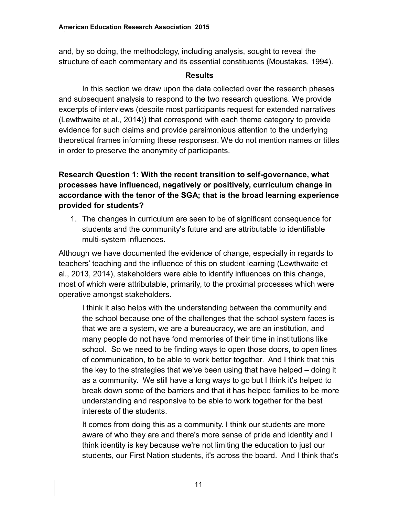and, by so doing, the methodology, including analysis, sought to reveal the structure of each commentary and its essential constituents (Moustakas, 1994).

### **Results**

In this section we draw upon the data collected over the research phases and subsequent analysis to respond to the two research questions. We provide excerpts of interviews (despite most participants request for extended narratives (Lewthwaite et al., 2014)) that correspond with each theme category to provide evidence for such claims and provide parsimonious attention to the underlying theoretical frames informing these responsesr. We do not mention names or titles in order to preserve the anonymity of participants.

# **Research Question 1: With the recent transition to self-governance, what processes have influenced, negatively or positively, curriculum change in accordance with the tenor of the SGA; that is the broad learning experience provided for students?**

1. The changes in curriculum are seen to be of significant consequence for students and the community's future and are attributable to identifiable multi-system influences.

Although we have documented the evidence of change, especially in regards to teachers' teaching and the influence of this on student learning (Lewthwaite et al., 2013, 2014), stakeholders were able to identify influences on this change, most of which were attributable, primarily, to the proximal processes which were operative amongst stakeholders.

I think it also helps with the understanding between the community and the school because one of the challenges that the school system faces is that we are a system, we are a bureaucracy, we are an institution, and many people do not have fond memories of their time in institutions like school. So we need to be finding ways to open those doors, to open lines of communication, to be able to work better together. And I think that this the key to the strategies that we've been using that have helped – doing it as a community. We still have a long ways to go but I think it's helped to break down some of the barriers and that it has helped families to be more understanding and responsive to be able to work together for the best interests of the students.

It comes from doing this as a community. I think our students are more aware of who they are and there's more sense of pride and identity and I think identity is key because we're not limiting the education to just our students, our First Nation students, it's across the board. And I think that's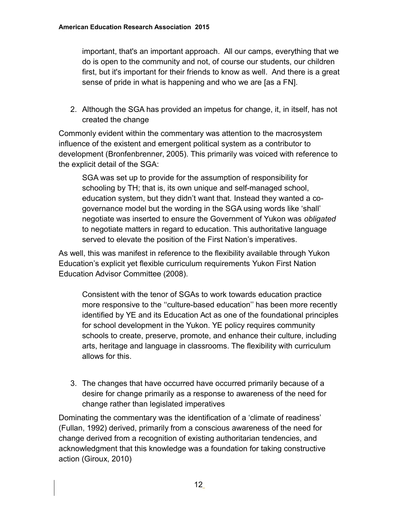important, that's an important approach. All our camps, everything that we do is open to the community and not, of course our students, our children first, but it's important for their friends to know as well. And there is a great sense of pride in what is happening and who we are [as a FN].

2. Although the SGA has provided an impetus for change, it, in itself, has not created the change

Commonly evident within the commentary was attention to the macrosystem influence of the existent and emergent political system as a contributor to development (Bronfenbrenner, 2005). This primarily was voiced with reference to the explicit detail of the SGA:

SGA was set up to provide for the assumption of responsibility for schooling by TH; that is, its own unique and self-managed school, education system, but they didn't want that. Instead they wanted a cogovernance model but the wording in the SGA using words like 'shall' negotiate was inserted to ensure the Government of Yukon was *obligated*  to negotiate matters in regard to education. This authoritative language served to elevate the position of the First Nation's imperatives.

As well, this was manifest in reference to the flexibility available through Yukon Education's explicit yet flexible curriculum requirements Yukon First Nation Education Advisor Committee (2008).

Consistent with the tenor of SGAs to work towards education practice more responsive to the ''culture-based education'' has been more recently identified by YE and its Education Act as one of the foundational principles for school development in the Yukon. YE policy requires community schools to create, preserve, promote, and enhance their culture, including arts, heritage and language in classrooms. The flexibility with curriculum allows for this.

3. The changes that have occurred have occurred primarily because of a desire for change primarily as a response to awareness of the need for change rather than legislated imperatives

Dominating the commentary was the identification of a 'climate of readiness' (Fullan, 1992) derived, primarily from a conscious awareness of the need for change derived from a recognition of existing authoritarian tendencies, and acknowledgment that this knowledge was a foundation for taking constructive action (Giroux, 2010)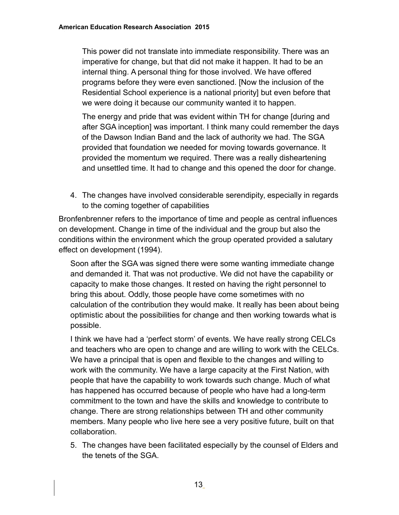This power did not translate into immediate responsibility. There was an imperative for change, but that did not make it happen. It had to be an internal thing. A personal thing for those involved. We have offered programs before they were even sanctioned. [Now the inclusion of the Residential School experience is a national priority] but even before that we were doing it because our community wanted it to happen.

The energy and pride that was evident within TH for change [during and after SGA inception] was important. I think many could remember the days of the Dawson Indian Band and the lack of authority we had. The SGA provided that foundation we needed for moving towards governance. It provided the momentum we required. There was a really disheartening and unsettled time. It had to change and this opened the door for change.

4. The changes have involved considerable serendipity, especially in regards to the coming together of capabilities

Bronfenbrenner refers to the importance of time and people as central influences on development. Change in time of the individual and the group but also the conditions within the environment which the group operated provided a salutary effect on development (1994).

Soon after the SGA was signed there were some wanting immediate change and demanded it. That was not productive. We did not have the capability or capacity to make those changes. It rested on having the right personnel to bring this about. Oddly, those people have come sometimes with no calculation of the contribution they would make. It really has been about being optimistic about the possibilities for change and then working towards what is possible.

I think we have had a 'perfect storm' of events. We have really strong CELCs and teachers who are open to change and are willing to work with the CELCs. We have a principal that is open and flexible to the changes and willing to work with the community. We have a large capacity at the First Nation, with people that have the capability to work towards such change. Much of what has happened has occurred because of people who have had a long-term commitment to the town and have the skills and knowledge to contribute to change. There are strong relationships between TH and other community members. Many people who live here see a very positive future, built on that collaboration.

5. The changes have been facilitated especially by the counsel of Elders and the tenets of the SGA.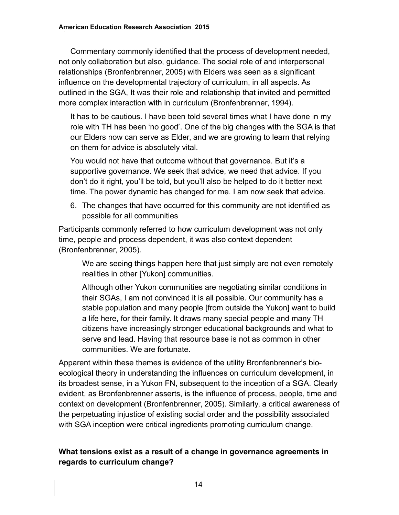Commentary commonly identified that the process of development needed, not only collaboration but also, guidance. The social role of and interpersonal relationships (Bronfenbrenner, 2005) with Elders was seen as a significant influence on the developmental trajectory of curriculum, in all aspects. As outlined in the SGA, It was their role and relationship that invited and permitted more complex interaction with in curriculum (Bronfenbrenner, 1994).

It has to be cautious. I have been told several times what I have done in my role with TH has been 'no good'. One of the big changes with the SGA is that our Elders now can serve as Elder, and we are growing to learn that relying on them for advice is absolutely vital.

You would not have that outcome without that governance. But it's a supportive governance. We seek that advice, we need that advice. If you don't do it right, you'll be told, but you'll also be helped to do it better next time. The power dynamic has changed for me. I am now seek that advice.

6. The changes that have occurred for this community are not identified as possible for all communities

Participants commonly referred to how curriculum development was not only time, people and process dependent, it was also context dependent (Bronfenbrenner, 2005).

We are seeing things happen here that just simply are not even remotely realities in other [Yukon] communities.

Although other Yukon communities are negotiating similar conditions in their SGAs, I am not convinced it is all possible. Our community has a stable population and many people [from outside the Yukon] want to build a life here, for their family. It draws many special people and many TH citizens have increasingly stronger educational backgrounds and what to serve and lead. Having that resource base is not as common in other communities. We are fortunate.

Apparent within these themes is evidence of the utility Bronfenbrenner's bioecological theory in understanding the influences on curriculum development, in its broadest sense, in a Yukon FN, subsequent to the inception of a SGA. Clearly evident, as Bronfenbrenner asserts, is the influence of process, people, time and context on development (Bronfenbrenner, 2005). Similarly, a critical awareness of the perpetuating injustice of existing social order and the possibility associated with SGA inception were critical ingredients promoting curriculum change.

# **What tensions exist as a result of a change in governance agreements in regards to curriculum change?**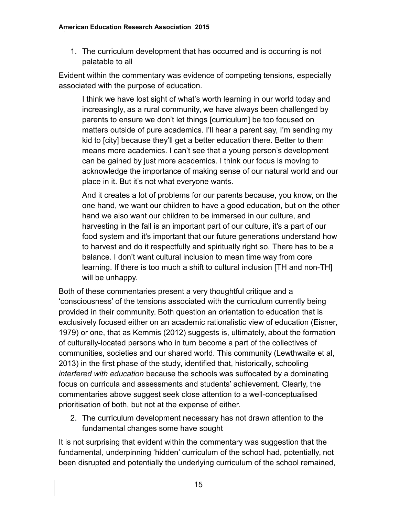1. The curriculum development that has occurred and is occurring is not palatable to all

Evident within the commentary was evidence of competing tensions, especially associated with the purpose of education.

I think we have lost sight of what's worth learning in our world today and increasingly, as a rural community, we have always been challenged by parents to ensure we don't let things [curriculum] be too focused on matters outside of pure academics. I'll hear a parent say, I'm sending my kid to [city] because they'll get a better education there. Better to them means more academics. I can't see that a young person's development can be gained by just more academics. I think our focus is moving to acknowledge the importance of making sense of our natural world and our place in it. But it's not what everyone wants.

And it creates a lot of problems for our parents because, you know, on the one hand, we want our children to have a good education, but on the other hand we also want our children to be immersed in our culture, and harvesting in the fall is an important part of our culture, it's a part of our food system and it's important that our future generations understand how to harvest and do it respectfully and spiritually right so. There has to be a balance. I don't want cultural inclusion to mean time way from core learning. If there is too much a shift to cultural inclusion [TH and non-TH] will be unhappy.

Both of these commentaries present a very thoughtful critique and a 'consciousness' of the tensions associated with the curriculum currently being provided in their community. Both question an orientation to education that is exclusively focused either on an academic rationalistic view of education (Eisner, 1979) or one, that as Kemmis (2012) suggests is, ultimately, about the formation of culturally-located persons who in turn become a part of the collectives of communities, societies and our shared world. This community (Lewthwaite et al, 2013) in the first phase of the study, identified that, historically, schooling *interfered with education* because the schools was suffocated by a dominating focus on curricula and assessments and students' achievement. Clearly, the commentaries above suggest seek close attention to a well-conceptualised prioritisation of both, but not at the expense of either.

2. The curriculum development necessary has not drawn attention to the fundamental changes some have sought

It is not surprising that evident within the commentary was suggestion that the fundamental, underpinning 'hidden' curriculum of the school had, potentially, not been disrupted and potentially the underlying curriculum of the school remained,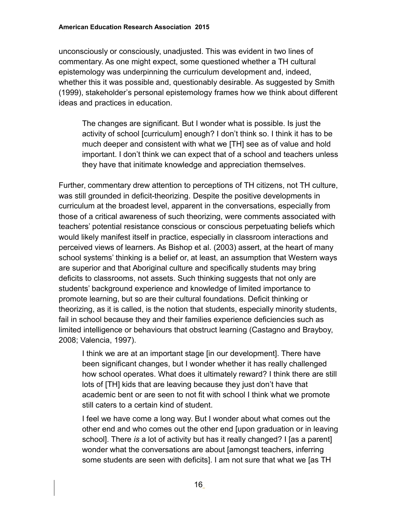unconsciously or consciously, unadjusted. This was evident in two lines of commentary. As one might expect, some questioned whether a TH cultural epistemology was underpinning the curriculum development and, indeed, whether this it was possible and, questionably desirable. As suggested by Smith (1999), stakeholder's personal epistemology frames how we think about different ideas and practices in education.

The changes are significant. But I wonder what is possible. Is just the activity of school [curriculum] enough? I don't think so. I think it has to be much deeper and consistent with what we [TH] see as of value and hold important. I don't think we can expect that of a school and teachers unless they have that initimate knowledge and appreciation themselves.

Further, commentary drew attention to perceptions of TH citizens, not TH culture, was still grounded in deficit-theorizing. Despite the positive developments in curriculum at the broadest level, apparent in the conversations, especially from those of a critical awareness of such theorizing, were comments associated with teachers' potential resistance conscious or conscious perpetuating beliefs which would likely manifest itself in practice, especially in classroom interactions and perceived views of learners. As Bishop et al. (2003) assert, at the heart of many school systems' thinking is a belief or, at least, an assumption that Western ways are superior and that Aboriginal culture and specifically students may bring deficits to classrooms, not assets. Such thinking suggests that not only are students' background experience and knowledge of limited importance to promote learning, but so are their cultural foundations. Deficit thinking or theorizing, as it is called, is the notion that students, especially minority students, fail in school because they and their families experience deficiencies such as limited intelligence or behaviours that obstruct learning (Castagno and Brayboy, 2008; Valencia, 1997).

I think we are at an important stage [in our development]. There have been significant changes, but I wonder whether it has really challenged how school operates. What does it ultimately reward? I think there are still lots of [TH] kids that are leaving because they just don't have that academic bent or are seen to not fit with school I think what we promote still caters to a certain kind of student.

I feel we have come a long way. But I wonder about what comes out the other end and who comes out the other end [upon graduation or in leaving school]. There *is* a lot of activity but has it really changed? I [as a parent] wonder what the conversations are about [amongst teachers, inferring some students are seen with deficits]. I am not sure that what we [as TH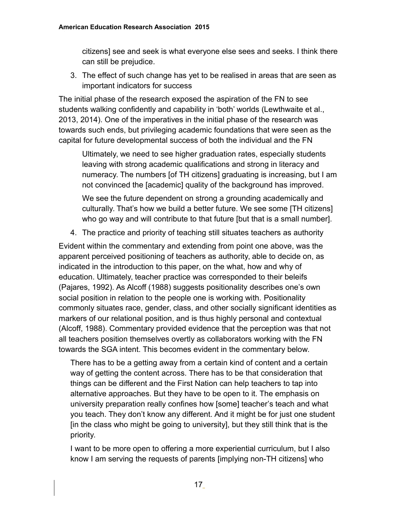citizens] see and seek is what everyone else sees and seeks. I think there can still be prejudice.

3. The effect of such change has yet to be realised in areas that are seen as important indicators for success

The initial phase of the research exposed the aspiration of the FN to see students walking confidently and capability in 'both' worlds (Lewthwaite et al., 2013, 2014). One of the imperatives in the initial phase of the research was towards such ends, but privileging academic foundations that were seen as the capital for future developmental success of both the individual and the FN

Ultimately, we need to see higher graduation rates, especially students leaving with strong academic qualifications and strong in literacy and numeracy. The numbers [of TH citizens] graduating is increasing, but I am not convinced the [academic] quality of the background has improved.

We see the future dependent on strong a grounding academically and culturally. That's how we build a better future. We see some [TH citizens] who go way and will contribute to that future [but that is a small number].

4. The practice and priority of teaching still situates teachers as authority

Evident within the commentary and extending from point one above, was the apparent perceived positioning of teachers as authority, able to decide on, as indicated in the introduction to this paper, on the what, how and why of education. Ultimately, teacher practice was corresponded to their beleifs (Pajares, 1992). As Alcoff (1988) suggests positionality describes one's own social position in relation to the people one is working with. Positionality commonly situates race, gender, class, and other socially significant identities as markers of our relational position, and is thus highly personal and contextual (Alcoff, 1988). Commentary provided evidence that the perception was that not all teachers position themselves overtly as collaborators working with the FN towards the SGA intent. This becomes evident in the commentary below.

There has to be a getting away from a certain kind of content and a certain way of getting the content across. There has to be that consideration that things can be different and the First Nation can help teachers to tap into alternative approaches. But they have to be open to it. The emphasis on university preparation really confines how [some] teacher's teach and what you teach. They don't know any different. And it might be for just one student [in the class who might be going to university], but they still think that is the priority.

I want to be more open to offering a more experiential curriculum, but I also know I am serving the requests of parents [implying non-TH citizens] who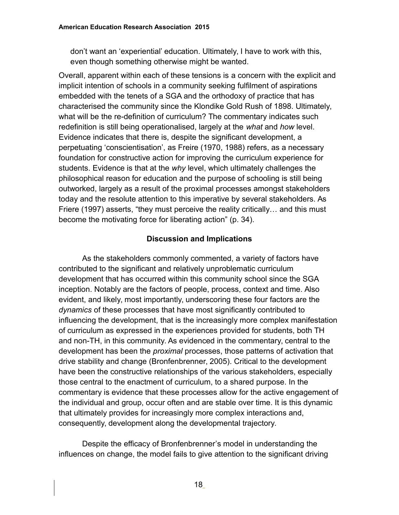don't want an 'experiential' education. Ultimately, I have to work with this, even though something otherwise might be wanted.

Overall, apparent within each of these tensions is a concern with the explicit and implicit intention of schools in a community seeking fulfilment of aspirations embedded with the tenets of a SGA and the orthodoxy of practice that has characterised the community since the Klondike Gold Rush of 1898. Ultimately, what will be the re-definition of curriculum? The commentary indicates such redefinition is still being operationalised, largely at the *what* and *how* level. Evidence indicates that there is, despite the significant development, a perpetuating 'conscientisation', as Freire (1970, 1988) refers, as a necessary foundation for constructive action for improving the curriculum experience for students. Evidence is that at the *why* level, which ultimately challenges the philosophical reason for education and the purpose of schooling is still being outworked, largely as a result of the proximal processes amongst stakeholders today and the resolute attention to this imperative by several stakeholders. As Friere (1997) asserts, "they must perceive the reality critically… and this must become the motivating force for liberating action" (p. 34).

### **Discussion and Implications**

As the stakeholders commonly commented, a variety of factors have contributed to the significant and relatively unproblematic curriculum development that has occurred within this community school since the SGA inception. Notably are the factors of people, process, context and time. Also evident, and likely, most importantly, underscoring these four factors are the *dynamics* of these processes that have most significantly contributed to influencing the development, that is the increasingly more complex manifestation of curriculum as expressed in the experiences provided for students, both TH and non-TH, in this community. As evidenced in the commentary, central to the development has been the *proximal* processes, those patterns of activation that drive stability and change (Bronfenbrenner, 2005). Critical to the development have been the constructive relationships of the various stakeholders, especially those central to the enactment of curriculum, to a shared purpose. In the commentary is evidence that these processes allow for the active engagement of the individual and group, occur often and are stable over time. It is this dynamic that ultimately provides for increasingly more complex interactions and, consequently, development along the developmental trajectory.

Despite the efficacy of Bronfenbrenner's model in understanding the influences on change, the model fails to give attention to the significant driving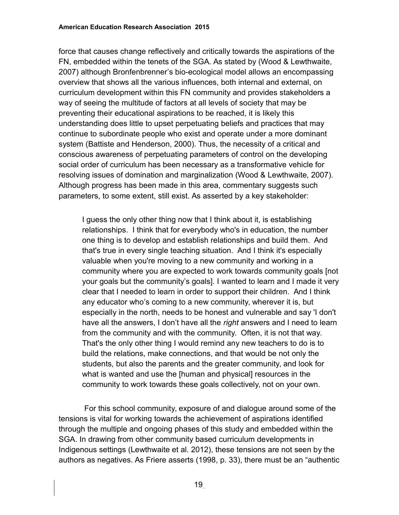force that causes change reflectively and critically towards the aspirations of the FN, embedded within the tenets of the SGA. As stated by (Wood & Lewthwaite, 2007) although Bronfenbrenner's bio-ecological model allows an encompassing overview that shows all the various influences, both internal and external, on curriculum development within this FN community and provides stakeholders a way of seeing the multitude of factors at all levels of society that may be preventing their educational aspirations to be reached, it is likely this understanding does little to upset perpetuating beliefs and practices that may continue to subordinate people who exist and operate under a more dominant system (Battiste and Henderson, 2000). Thus, the necessity of a critical and conscious awareness of perpetuating parameters of control on the developing social order of curriculum has been necessary as a transformative vehicle for resolving issues of domination and marginalization (Wood & Lewthwaite, 2007). Although progress has been made in this area, commentary suggests such parameters, to some extent, still exist. As asserted by a key stakeholder:

I guess the only other thing now that I think about it, is establishing relationships. I think that for everybody who's in education, the number one thing is to develop and establish relationships and build them. And that's true in every single teaching situation. And I think it's especially valuable when you're moving to a new community and working in a community where you are expected to work towards community goals [not your goals but the community's goals]. I wanted to learn and I made it very clear that I needed to learn in order to support their children. And I think any educator who's coming to a new community, wherever it is, but especially in the north, needs to be honest and vulnerable and say 'I don't have all the answers, I don't have all the *right* answers and I need to learn from the community and with the community. Often, it is not that way. That's the only other thing I would remind any new teachers to do is to build the relations, make connections, and that would be not only the students, but also the parents and the greater community, and look for what is wanted and use the [human and physical] resources in the community to work towards these goals collectively, not on your own.

 For this school community, exposure of and dialogue around some of the tensions is vital for working towards the achievement of aspirations identified through the multiple and ongoing phases of this study and embedded within the SGA. In drawing from other community based curriculum developments in Indigenous settings (Lewthwaite et al. 2012), these tensions are not seen by the authors as negatives. As Friere asserts (1998, p. 33), there must be an "authentic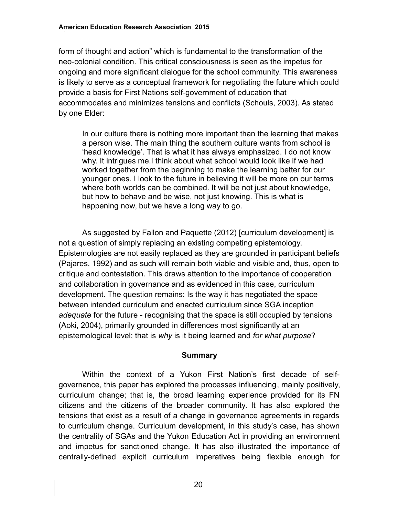form of thought and action" which is fundamental to the transformation of the neo-colonial condition. This critical consciousness is seen as the impetus for ongoing and more significant dialogue for the school community. This awareness is likely to serve as a conceptual framework for negotiating the future which could provide a basis for First Nations self-government of education that accommodates and minimizes tensions and conflicts (Schouls, 2003). As stated by one Elder:

In our culture there is nothing more important than the learning that makes a person wise. The main thing the southern culture wants from school is 'head knowledge'. That is what it has always emphasized. I do not know why. It intrigues me.I think about what school would look like if we had worked together from the beginning to make the learning better for our younger ones. I look to the future in believing it will be more on our terms where both worlds can be combined. It will be not just about knowledge, but how to behave and be wise, not just knowing. This is what is happening now, but we have a long way to go.

As suggested by Fallon and Paquette (2012) [curriculum development] is not a question of simply replacing an existing competing epistemology. Epistemologies are not easily replaced as they are grounded in participant beliefs (Pajares, 1992) and as such will remain both viable and visible and, thus, open to critique and contestation. This draws attention to the importance of cooperation and collaboration in governance and as evidenced in this case, curriculum development. The question remains: Is the way it has negotiated the space between intended curriculum and enacted curriculum since SGA inception *adequate* for the future - recognising that the space is still occupied by tensions (Aoki, 2004), primarily grounded in differences most significantly at an epistemological level; that is *why* is it being learned and *for what purpose*?

#### **Summary**

Within the context of a Yukon First Nation's first decade of selfgovernance, this paper has explored the processes influencing, mainly positively, curriculum change; that is, the broad learning experience provided for its FN citizens and the citizens of the broader community. It has also explored the tensions that exist as a result of a change in governance agreements in regards to curriculum change. Curriculum development, in this study's case, has shown the centrality of SGAs and the Yukon Education Act in providing an environment and impetus for sanctioned change. It has also illustrated the importance of centrally-defined explicit curriculum imperatives being flexible enough for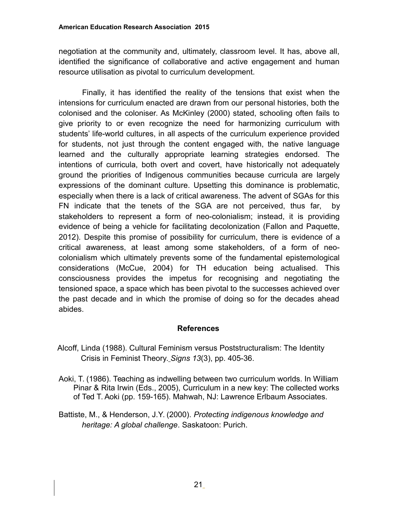negotiation at the community and, ultimately, classroom level. It has, above all, identified the significance of collaborative and active engagement and human resource utilisation as pivotal to curriculum development.

Finally, it has identified the reality of the tensions that exist when the intensions for curriculum enacted are drawn from our personal histories, both the colonised and the coloniser. As McKinley (2000) stated, schooling often fails to give priority to or even recognize the need for harmonizing curriculum with students' life-world cultures, in all aspects of the curriculum experience provided for students, not just through the content engaged with, the native language learned and the culturally appropriate learning strategies endorsed. The intentions of curricula, both overt and covert, have historically not adequately ground the priorities of Indigenous communities because curricula are largely expressions of the dominant culture. Upsetting this dominance is problematic, especially when there is a lack of critical awareness. The advent of SGAs for this FN indicate that the tenets of the SGA are not perceived, thus far, by stakeholders to represent a form of neo-colonialism; instead, it is providing evidence of being a vehicle for facilitating decolonization (Fallon and Paquette, 2012). Despite this promise of possibility for curriculum, there is evidence of a critical awareness, at least among some stakeholders, of a form of neocolonialism which ultimately prevents some of the fundamental epistemological considerations (McCue, 2004) for TH education being actualised. This consciousness provides the impetus for recognising and negotiating the tensioned space, a space which has been pivotal to the successes achieved over the past decade and in which the promise of doing so for the decades ahead abides.

#### **References**

- Alcoff, Linda (1988). Cultural Feminism versus Poststructuralism: The Identity Crisis in Feminist Theory. *Signs 13*(3), pp. 405-36.
- Aoki, T. (1986). Teaching as indwelling between two curriculum worlds. In William Pinar & Rita Irwin (Eds., 2005), Curriculum in a new key: The collected works of Ted T. Aoki (pp. 159-165). Mahwah, NJ: Lawrence Erlbaum Associates.
- Battiste, M., & Henderson, J.Y. (2000). *Protecting indigenous knowledge and heritage: A global challenge*. Saskatoon: Purich.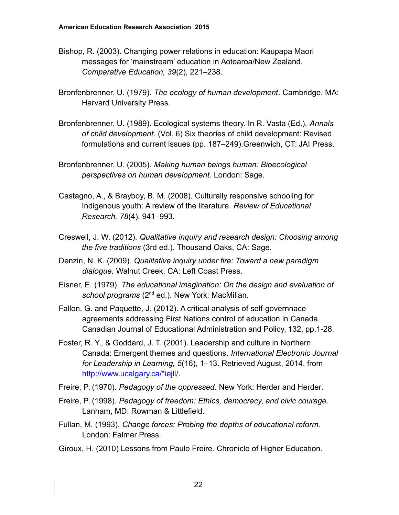- Bishop, R. (2003). Changing power relations in education: Kaupapa Maori messages for 'mainstream' education in Aotearoa/New Zealand. *Comparative Education, 39*(2), 221–238.
- Bronfenbrenner, U. (1979). *The ecology of human development*. Cambridge, MA: Harvard University Press.
- Bronfenbrenner, U. (1989). Ecological systems theory. In R. Vasta (Ed.), *Annals of child development.* (Vol. 6) Six theories of child development: Revised formulations and current issues (pp. 187–249).Greenwich, CT: JAI Press.
- Bronfenbrenner, U. (2005). *Making human beings human: Bioecological perspectives on human development*. London: Sage.
- Castagno, A., & Brayboy, B. M. (2008). Culturally responsive schooling for Indigenous youth: A review of the literature. *Review of Educational Research, 78*(4), 941–993.
- Creswell, J. W. (2012). *Qualitative inquiry and research design: Choosing among the five traditions* (3rd ed.). Thousand Oaks, CA: Sage.
- Denzin, N. K. (2009). *Qualitative inquiry under fire: Toward a new paradigm dialogue.* Walnut Creek, CA: Left Coast Press.
- Eisner, E. (1979). *The educational imagination: On the design and evaluation of*  school programs (2<sup>nd</sup> ed.). New York: MacMillan.
- Fallon, G. and Paquette, J. (2012). A critical analysis of self-governnace agreements addressing First Nations control of education in Canada. Canadian Journal of Educational Administration and Policy, 132, pp.1-28.
- Foster, R. Y., & Goddard, J. T. (2001). Leadership and culture in Northern Canada: Emergent themes and questions. *International Electronic Journal for Leadership in Learning, 5*(16), 1–13. Retrieved August, 2014, from [http://www.ucalgary.ca/\\*iejll/.](http://www.ucalgary.ca/*iejll/)
- Freire, P. (1970). *Pedagogy of the oppressed*. New York: Herder and Herder.
- Freire, P. (1998). *Pedagogy of freedom: Ethics, democracy, and civic courage*. Lanham, MD: Rowman & Littlefield.
- Fullan, M. (1993). *Change forces: Probing the depths of educational reform*. London: Falmer Press.
- Giroux, H. (2010) Lessons from Paulo Freire. Chronicle of Higher Education.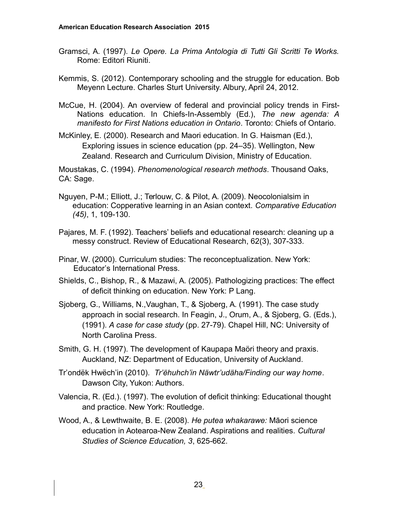- Gramsci, A. (1997). *Le Opere. La Prima Antologia di Tutti Gli Scritti Te Works.* Rome: Editori Riuniti.
- Kemmis, S. (2012). Contemporary schooling and the struggle for education. Bob Meyenn Lecture. Charles Sturt University. Albury, April 24, 2012.
- McCue, H. (2004). An overview of federal and provincial policy trends in First-Nations education. In Chiefs-In-Assembly (Ed.), *The new agenda: A manifesto for First Nations education in Ontario*. Toronto: Chiefs of Ontario.
- McKinley, E. (2000). Research and Maori education. In G. Haisman (Ed.), Exploring issues in science education (pp. 24–35). Wellington, New Zealand. Research and Curriculum Division, Ministry of Education.

Moustakas, C. (1994). *Phenomenological research methods*. Thousand Oaks, CA: Sage.

- Nguyen, P-M.; Elliott, J.; Terlouw, C. & Pilot, A. (2009). Neocolonialsim in education: Copperative learning in an Asian context. *Comparative Education (45)*, 1, 109-130.
- Pajares, M. F. (1992). Teachers' beliefs and educational research: cleaning up a messy construct. Review of Educational Research, 62(3), 307-333.
- Pinar, W. (2000). Curriculum studies: The reconceptualization. New York: Educator's International Press.
- Shields, C., Bishop, R., & Mazawi, A. (2005). Pathologizing practices: The effect of deficit thinking on education. New York: P Lang.
- Sjoberg, G., Williams, N.,Vaughan, T., & Sjoberg, A. (1991). The case study approach in social research. In Feagin, J., Orum, A., & Sjoberg, G. (Eds.), (1991). *A case for case study* (pp. 27-79). Chapel Hill, NC: University of North Carolina Press.
- Smith, G. H. (1997). The development of Kaupapa Maöri theory and praxis. Auckland, NZ: Department of Education, University of Auckland.
- Tr'ondëk Hwëch'in (2010). *Tr'ëhuhch'in Näwtr'udäha/Finding our way home*. Dawson City, Yukon: Authors.
- Valencia, R. (Ed.). (1997). The evolution of deficit thinking: Educational thought and practice. New York: Routledge.
- Wood, A., & Lewthwaite, B. E. (2008). *He putea whakarawe:* Māori science education in Aotearoa-New Zealand. Aspirations and realities. *Cultural Studies of Science Education, 3*, 625-662.